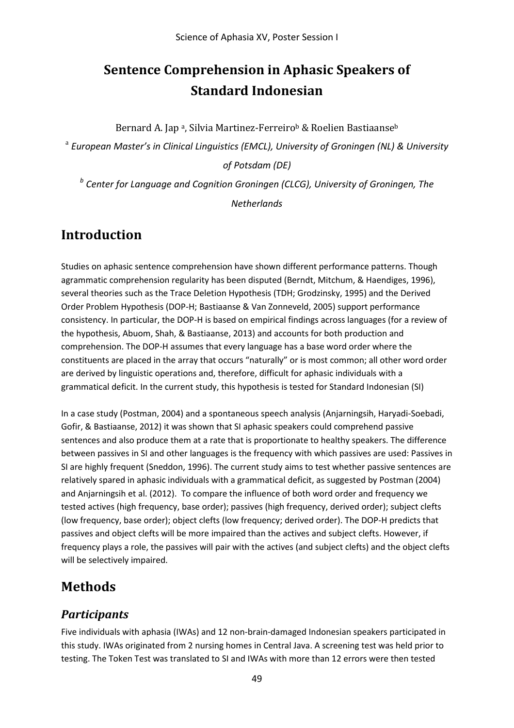# **Sentence Comprehension in Aphasic Speakers of Standard Indonesian**

Bernard A. Jap<sup>a</sup>, Silvia Martinez-Ferreiro<sup>b</sup> & Roelien Bastiaanse<sup>b</sup>

<sup>a</sup> *European Master's in Clinical Linguistics (EMCL), University of Groningen (NL) & University* 

*of Potsdam (DE)*

*<sup>b</sup> Center for Language and Cognition Groningen (CLCG), University of Groningen, The Netherlands*

## **Introduction**

Studies on aphasic sentence comprehension have shown different performance patterns. Though agrammatic comprehension regularity has been disputed (Berndt, Mitchum, & Haendiges, 1996), several theories such as the Trace Deletion Hypothesis (TDH; Grodzinsky, 1995) and the Derived Order Problem Hypothesis (DOP-H; Bastiaanse & Van Zonneveld, 2005) support performance consistency. In particular, the DOP-H is based on empirical findings across languages (for a review of the hypothesis, Abuom, Shah, & Bastiaanse, 2013) and accounts for both production and comprehension. The DOP-H assumes that every language has a base word order where the constituents are placed in the array that occurs "naturally" or is most common; all other word order are derived by linguistic operations and, therefore, difficult for aphasic individuals with a grammatical deficit. In the current study, this hypothesis is tested for Standard Indonesian (SI)

In a case study (Postman, 2004) and a spontaneous speech analysis (Anjarningsih, Haryadi-Soebadi, Gofir, & Bastiaanse, 2012) it was shown that SI aphasic speakers could comprehend passive sentences and also produce them at a rate that is proportionate to healthy speakers. The difference between passives in SI and other languages is the frequency with which passives are used: Passives in SI are highly frequent (Sneddon, 1996). The current study aims to test whether passive sentences are relatively spared in aphasic individuals with a grammatical deficit, as suggested by Postman (2004) and Anjarningsih et al. (2012). To compare the influence of both word order and frequency we tested actives (high frequency, base order); passives (high frequency, derived order); subject clefts (low frequency, base order); object clefts (low frequency; derived order). The DOP-H predicts that passives and object clefts will be more impaired than the actives and subject clefts. However, if frequency plays a role, the passives will pair with the actives (and subject clefts) and the object clefts will be selectively impaired.

## **Methods**

#### *Participants*

Five individuals with aphasia (IWAs) and 12 non-brain-damaged Indonesian speakers participated in this study. IWAs originated from 2 nursing homes in Central Java. A screening test was held prior to testing. The Token Test was translated to SI and IWAs with more than 12 errors were then tested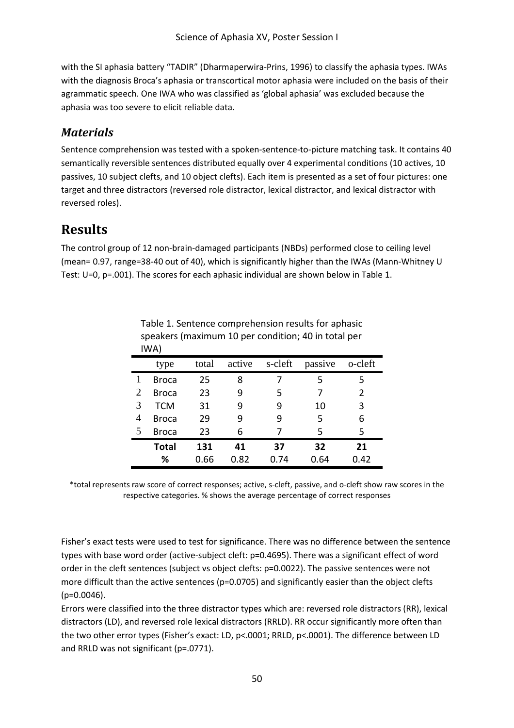with the SI aphasia battery "TADIR" (Dharmaperwira-Prins, 1996) to classify the aphasia types. IWAs with the diagnosis Broca's aphasia or transcortical motor aphasia were included on the basis of their agrammatic speech. One IWA who was classified as 'global aphasia' was excluded because the aphasia was too severe to elicit reliable data.

#### *Materials*

Sentence comprehension was tested with a spoken-sentence-to-picture matching task. It contains 40 semantically reversible sentences distributed equally over 4 experimental conditions (10 actives, 10 passives, 10 subject clefts, and 10 object clefts). Each item is presented as a set of four pictures: one target and three distractors (reversed role distractor, lexical distractor, and lexical distractor with reversed roles).

## **Results**

The control group of 12 non-brain-damaged participants (NBDs) performed close to ceiling level (mean= 0.97, range=38-40 out of 40), which is significantly higher than the IWAs (Mann-Whitney U Test: U=0, p=.001). The scores for each aphasic individual are shown below in Table 1.

|   | IWA)         |       |        |         |         |                |
|---|--------------|-------|--------|---------|---------|----------------|
|   | type         | total | active | s-cleft | passive | o-cleft        |
| 1 | Broca        | 25    | 8      |         | 5       | 5              |
| 2 | <b>Broca</b> | 23    | 9      | 5       | 7       | $\overline{2}$ |
| 3 | TCM          | 31    | 9      | 9       | 10      | 3              |
| 4 | <b>Broca</b> | 29    | 9      | 9       | 5       | 6              |
| 5 | <b>Broca</b> | 23    | 6      | 7       | 5       | 5              |
|   | <b>Total</b> | 131   | 41     | 37      | 32      | 21             |
|   | %            | 0.66  | 0.82   | 0.74    | 0.64    | 0.42           |

Table 1. Sentence comprehension results for aphasic speakers (maximum 10 per condition; 40 in total per

\*total represents raw score of correct responses; active, s-cleft, passive, and o-cleft show raw scores in the respective categories. % shows the average percentage of correct responses

Fisher's exact tests were used to test for significance. There was no difference between the sentence types with base word order (active-subject cleft: p=0.4695). There was a significant effect of word order in the cleft sentences (subject vs object clefts: p=0.0022). The passive sentences were not more difficult than the active sentences (p=0.0705) and significantly easier than the object clefts  $(p=0.0046)$ .

Errors were classified into the three distractor types which are: reversed role distractors (RR), lexical distractors (LD), and reversed role lexical distractors (RRLD). RR occur significantly more often than the two other error types (Fisher's exact: LD, p<.0001; RRLD, p<.0001). The difference between LD and RRLD was not significant (p=.0771).